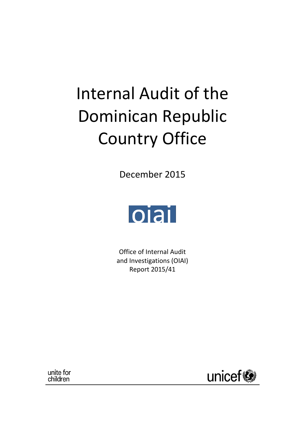# Internal Audit of the Dominican Republic Country Office

December 2015



Office of Internal Audit and Investigations (OIAI) Report 2015/41

unite for children

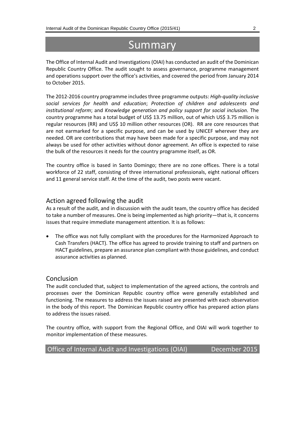# Summary

The Office of Internal Audit and Investigations (OIAI) has conducted an audit of the Dominican Republic Country Office. The audit sought to assess governance, programme management and operations support over the office's activities, and covered the period from January 2014 to October 2015.

The 2012-2016 country programme includes three programme outputs: *High-quality inclusive social services for health and education*; *Protection of children and adolescents and institutional reform*; and *Knowledge generation and policy support for social inclusion.* The country programme has a total budget of US\$ 13.75 million, out of which US\$ 3.75 million is regular resources (RR) and US\$ 10 million other resources (OR). RR are core resources that are not earmarked for a specific purpose, and can be used by UNICEF wherever they are needed. OR are contributions that may have been made for a specific purpose, and may not always be used for other activities without donor agreement. An office is expected to raise the bulk of the resources it needs for the country programme itself, as OR.

The country office is based in Santo Domingo; there are no zone offices. There is a total workforce of 22 staff, consisting of three international professionals, eight national officers and 11 general service staff. At the time of the audit, two posts were vacant.

#### Action agreed following the audit

As a result of the audit, and in discussion with the audit team, the country office has decided to take a number of measures. One is being implemented as high priority—that is, it concerns issues that require immediate management attention. It is as follows:

 The office was not fully compliant with the procedures for the Harmonized Approach to Cash Transfers (HACT). The office has agreed to provide training to staff and partners on HACT guidelines, prepare an assurance plan compliant with those guidelines, and conduct assurance activities as planned.

#### Conclusion

The audit concluded that, subject to implementation of the agreed actions, the controls and processes over the Dominican Republic country office were generally established and functioning. The measures to address the issues raised are presented with each observation in the body of this report. The Dominican Republic country office has prepared action plans to address the issues raised.

The country office, with support from the Regional Office, and OIAI will work together to monitor implementation of these measures.

Office of Internal Audit and Investigations (OIAI) December 2015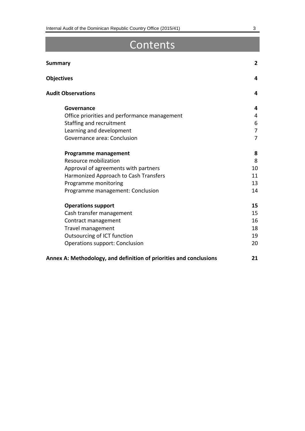# Contents

| <b>Summary</b>                               | 2              |
|----------------------------------------------|----------------|
| <b>Objectives</b>                            | 4              |
| <b>Audit Observations</b>                    | 4              |
| Governance                                   | 4              |
| Office priorities and performance management | 4              |
| Staffing and recruitment                     | 6              |
| Learning and development                     | $\overline{7}$ |
| Governance area: Conclusion                  | $\overline{7}$ |
| <b>Programme management</b>                  | 8              |
| Resource mobilization                        | 8              |
| Approval of agreements with partners         | 10             |
| Harmonized Approach to Cash Transfers        | 11             |
| Programme monitoring                         | 13             |
| Programme management: Conclusion             | 14             |
| <b>Operations support</b>                    | 15             |
| Cash transfer management                     | 15             |
| Contract management                          | 16             |
| Travel management                            | 18             |
| Outsourcing of ICT function                  | 19             |
| <b>Operations support: Conclusion</b>        | 20             |
|                                              |                |

#### **Annex A: Methodology, and definition of priorities and conclusions 21**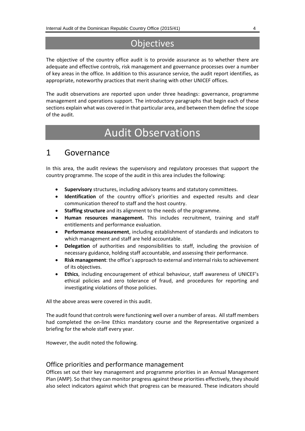# **Objectives**

The objective of the country office audit is to provide assurance as to whether there are adequate and effective controls, risk management and governance processes over a number of key areas in the office. In addition to this assurance service, the audit report identifies, as appropriate, noteworthy practices that merit sharing with other UNICEF offices.

The audit observations are reported upon under three headings: governance, programme management and operations support. The introductory paragraphs that begin each of these sections explain what was covered in that particular area, and between them define the scope of the audit.

# Audit Observations

### 1 Governance

In this area, the audit reviews the supervisory and regulatory processes that support the country programme. The scope of the audit in this area includes the following:

- **Supervisory** structures, including advisory teams and statutory committees.
- **Identification** of the country office's priorities and expected results and clear communication thereof to staff and the host country.
- **Staffing structure** and its alignment to the needs of the programme.
- **Human resources management.** This includes recruitment, training and staff entitlements and performance evaluation.
- **Performance measurement**, including establishment of standards and indicators to which management and staff are held accountable.
- **Delegation** of authorities and responsibilities to staff, including the provision of necessary guidance, holding staff accountable, and assessing their performance.
- **Risk management**: the office's approach to external and internal risks to achievement of its objectives.
- **Ethics**, including encouragement of ethical behaviour, staff awareness of UNICEF's ethical policies and zero tolerance of fraud, and procedures for reporting and investigating violations of those policies.

All the above areas were covered in this audit.

The audit found that controls were functioning well over a number of areas. All staff members had completed the on-line Ethics mandatory course and the Representative organized a briefing for the whole staff every year.

However, the audit noted the following.

#### Office priorities and performance management

Offices set out their key management and programme priorities in an Annual Management Plan (AMP). So that they can monitor progress against these priorities effectively, they should also select indicators against which that progress can be measured. These indicators should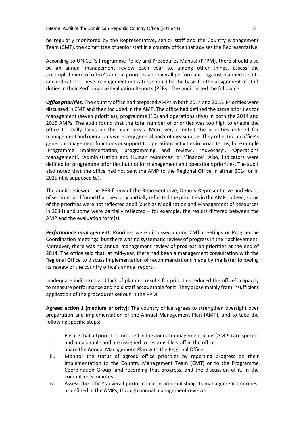be regularly monitored by the Representative, senior staff and the Country Management Team (CMT), the committee of senior staff in a country office that advises the Representative.

According to UNICEF's Programme Policy and Procedures Manual (PPPM), there should also be an annual management review each year to, among other things, assess the accomplishment of office's annual priorities and overall performance against planned results and indicators. These management indicators should be the basis for the assignment of staff duties in their Performance Evaluation Reports (PERs). The audit noted the following.

*Office priorities:* The country office had prepared AMPsin both 2014 and 2015. Priorities were discussed in CMT and then included in the AMP. The office had defined the same priorities for management (seven priorities), programme (16) and operations (five) in both the 2014 and 2015 AMPs. The audit found that the total number of priorities was too high to enable the office to really focus on the main areas. Moreover, it noted the priorities defined for management and operations were very general and not measurable. They reflected an office's generic management functions or support to operations activities in broad terms, for example 'Programme implementation, programming and review', 'Advocacy', 'Operations management', 'Administration and Human resources' or 'Finance'. Also, indicators were defined for programme priorities but not for management and operations priorities. The audit also noted that the office had not sent the AMP to the Regional Office in either 2014 or in 2015 (it is supposed to).

The audit reviewed the PER forms of the Representative, Deputy Representative and Heads of sections, and found that they only partially reflected the priorities in the AMP. Indeed, some of the priorities were not reflected at all (such as Mobilization and Management of Resources in 2014) and some were partially reflected – for example, the results differed between the AMP and the evaluation form(s).

*Performance management:* Priorities were discussed during CMT meetings or Programme Coordination meetings, but there was no systematic review of progress in their achievement. Moreover, there was no annual management review of progress on priorities at the end of 2014. The office said that, at mid-year, there had been a management consultation with the Regional Office to discuss implementation of recommendations made by the latter following its review of the country office's annual report.

Inadequate indicators and lack of planned results for priorities reduced the office's capacity to measure performance and hold staff accountable for it. They arose mainly from insufficient application of the procedures set out in the PPM.

**Agreed action 1 (medium priority):** The country office agrees to strengthen oversight over preparation and implementation of the Annual Management Plan (AMP), and to take the following specific steps:

- i. Ensure that all priorities included in the annual management plans (AMPs) are specific and measurable and are assigned to responsible staff in the office.
- ii. Share the Annual Management Plan with the Regional Office,
- iii. Monitor the status of agreed office priorities by reporting progress on their implementation to the Country Management Team (CMT) or to the Programme Coordination Group, and recording that progress, and the discussion of it, in the committee's minutes.
- iv. Assess the office's overall performance in accomplishing its management priorities, as defined in the AMPs, through annual management reviews.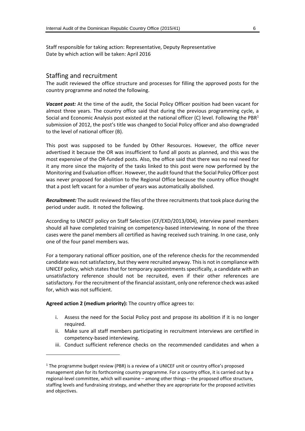Staff responsible for taking action: Representative, Deputy Representative Date by which action will be taken: April 2016

#### Staffing and recruitment

The audit reviewed the office structure and processes for filling the approved posts for the country programme and noted the following.

*Vacant post:* At the time of the audit, the Social Policy Officer position had been vacant for almost three years. The country office said that during the previous programming cycle, a Social and Economic Analysis post existed at the national officer (C) level. Following the PBR<sup>1</sup> submission of 2012, the post's title was changed to Social Policy officer and also downgraded to the level of national officer (B).

This post was supposed to be funded by Other Resources. However, the office never advertised it because the OR was insufficient to fund all posts as planned, and this was the most expensive of the OR-funded posts. Also, the office said that there was no real need for it any more since the majority of the tasks linked to this post were now performed by the Monitoring and Evaluation officer. However, the audit found that the Social Policy Officer post was never proposed for abolition to the Regional Office because the country office thought that a post left vacant for a number of years was automatically abolished.

*Recruitment:* The audit reviewed the files of the three recruitments that took place during the period under audit. It noted the following.

According to UNICEF policy on Staff Selection (CF/EXD/2013/004), interview panel members should all have completed training on competency-based interviewing. In none of the three cases were the panel members all certified as having received such training. In one case, only one of the four panel members was.

For a temporary national officer position, one of the reference checks for the recommended candidate was not satisfactory, but they were recruited anyway. This is not in compliance with UNICEF policy, which states that for temporary appointments specifically, a candidate with an unsatisfactory reference should not be recruited, even if their other references are satisfactory. For the recruitment of the financial assistant, only one reference check was asked for, which was not sufficient.

#### **Agreed action 2 (medium priority):** The country office agrees to:

-

- i. Assess the need for the Social Policy post and propose its abolition if it is no longer required.
- ii. Make sure all staff members participating in recruitment interviews are certified in competency-based interviewing.
- iii. Conduct sufficient reference checks on the recommended candidates and when a

<sup>&</sup>lt;sup>1</sup> The programme budget review (PBR) is a review of a UNICEF unit or country office's proposed management plan for its forthcoming country programme. For a country office, it is carried out by a regional-level committee, which will examine – among other things – the proposed office structure, staffing levels and fundraising strategy, and whether they are appropriate for the proposed activities and objectives.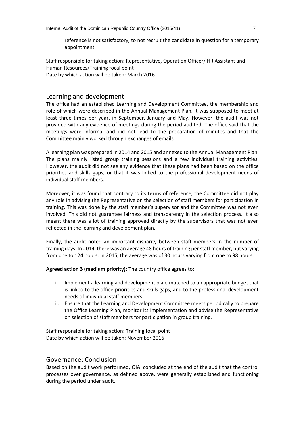reference is not satisfactory, to not recruit the candidate in question for a temporary appointment.

Staff responsible for taking action: Representative, Operation Officer/ HR Assistant and Human Resources/Training focal point Date by which action will be taken: March 2016

#### Learning and development

The office had an established Learning and Development Committee, the membership and role of which were described in the Annual Management Plan. It was supposed to meet at least three times per year, in September, January and May. However, the audit was not provided with any evidence of meetings during the period audited. The office said that the meetings were informal and did not lead to the preparation of minutes and that the Committee mainly worked through exchanges of emails.

A learning plan was prepared in 2014 and 2015 and annexed to the Annual Management Plan. The plans mainly listed group training sessions and a few individual training activities. However, the audit did not see any evidence that these plans had been based on the office priorities and skills gaps, or that it was linked to the professional development needs of individual staff members.

Moreover, it was found that contrary to its terms of reference, the Committee did not play any role in advising the Representative on the selection of staff members for participation in training. This was done by the staff member's supervisor and the Committee was not even involved. This did not guarantee fairness and transparency in the selection process. It also meant there was a lot of training approved directly by the supervisors that was not even reflected in the learning and development plan.

Finally, the audit noted an important disparity between staff members in the number of training days. In 2014, there was an average 48 hours of training per staff member, but varying from one to 124 hours. In 2015, the average was of 30 hours varying from one to 98 hours.

**Agreed action 3 (medium priority):** The country office agrees to:

- i. Implement a learning and development plan, matched to an appropriate budget that is linked to the office priorities and skills gaps, and to the professional development needs of individual staff members.
- ii. Ensure that the Learning and Development Committee meets periodically to prepare the Office Learning Plan, monitor its implementation and advise the Representative on selection of staff members for participation in group training.

Staff responsible for taking action: Training focal point Date by which action will be taken: November 2016

#### Governance: Conclusion

Based on the audit work performed, OIAI concluded at the end of the audit that the control processes over governance, as defined above, were generally established and functioning during the period under audit.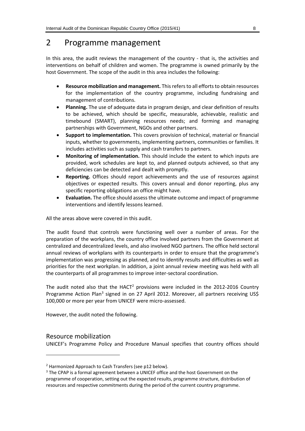### 2 Programme management

In this area, the audit reviews the management of the country - that is, the activities and interventions on behalf of children and women. The programme is owned primarily by the host Government. The scope of the audit in this area includes the following:

- **Resource mobilization and management.** This refers to all efforts to obtain resources for the implementation of the country programme, including fundraising and management of contributions.
- **Planning.** The use of adequate data in program design, and clear definition of results to be achieved, which should be specific, measurable, achievable, realistic and timebound (SMART), planning resources needs; and forming and managing partnerships with Government, NGOs and other partners.
- **Support to implementation.** This covers provision of technical, material or financial inputs, whether to governments, implementing partners, communities or families. It includes activities such as supply and cash transfers to partners.
- **Monitoring of implementation.** This should include the extent to which inputs are provided, work schedules are kept to, and planned outputs achieved, so that any deficiencies can be detected and dealt with promptly.
- **Reporting.** Offices should report achievements and the use of resources against objectives or expected results. This covers annual and donor reporting, plus any specific reporting obligations an office might have.
- **Evaluation.** The office should assess the ultimate outcome and impact of programme interventions and identify lessons learned.

All the areas above were covered in this audit.

The audit found that controls were functioning well over a number of areas. For the preparation of the workplans, the country office involved partners from the Government at centralized and decentralized levels, and also involved NGO partners. The office held sectoral annual reviews of workplans with its counterparts in order to ensure that the programme's implementation was progressing as planned, and to identify results and difficulties as well as priorities for the next workplan. In addition, a joint annual review meeting was held with all the counterparts of all programmes to improve inter-sectoral coordination.

The audit noted also that the HACT<sup>2</sup> provisions were included in the  $2012$ -2016 Country Programme Action Plan<sup>3</sup> signed in on 27 April 2012. Moreover, all partners receiving US\$ 100,000 or more per year from UNICEF were micro-assessed.

However, the audit noted the following.

#### Resource mobilization

-

UNICEF's Programme Policy and Procedure Manual specifies that country offices should

<sup>&</sup>lt;sup>2</sup> Harmonized Approach to Cash Transfers (see p12 below).

<sup>&</sup>lt;sup>3</sup> The CPAP is a formal agreement between a UNICEF office and the host Government on the programme of cooperation, setting out the expected results, programme structure, distribution of resources and respective commitments during the period of the current country programme.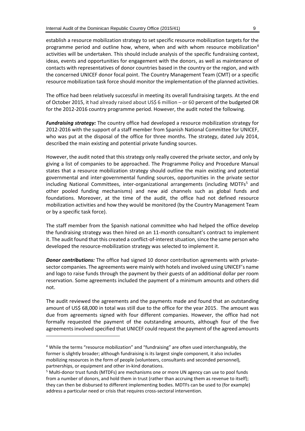establish a resource mobilization strategy to set specific resource mobilization targets for the programme period and outline how, where, when and with whom resource mobilization<sup>4</sup> activities will be undertaken. This should include analysis of the specific fundraising context, ideas, events and opportunities for engagement with the donors, as well as maintenance of contacts with representatives of donor countries based in the country or the region, and with the concerned UNICEF donor focal point. The Country Management Team (CMT) or a specific resource mobilization task force should monitor the implementation of the planned activities.

The office had been relatively successful in meeting its overall fundraising targets. At the end of October 2015, it had already raised about US\$ 6 million – or 60 percent of the budgeted OR for the 2012-2016 country programme period. However, the audit noted the following.

*Fundraising strategy:* The country office had developed a resource mobilization strategy for 2012-2016 with the support of a staff member from Spanish National Committee for UNICEF, who was put at the disposal of the office for three months. The strategy, dated July 2014, described the main existing and potential private funding sources.

However, the audit noted that this strategy only really covered the private sector, and only by giving a list of companies to be approached. The Programme Policy and Procedure Manual states that a resource mobilization strategy should outline the main existing and potential governmental and inter-governmental funding sources, opportunities in the private sector including National Committees, inter-organizational arrangements (including MDTFs<sup>5</sup> and other pooled funding mechanisms) and new aid channels such as global funds and foundations. Moreover, at the time of the audit, the office had not defined resource mobilization activities and how they would be monitored (by the Country Management Team or by a specific task force).

The staff member from the Spanish national committee who had helped the office develop the fundraising strategy was then hired on an 11-month consultant's contract to implement it. The audit found that this created a conflict-of-interest situation, since the same person who developed the resource-mobilization strategy was selected to implement it.

*Donor contributions:* The office had signed 10 donor contribution agreements with privatesector companies. The agreements were mainly with hotels and involved using UNICEF's name and logo to raise funds through the payment by their guests of an additional dollar per room reservation. Some agreements included the payment of a minimum amounts and others did not.

The audit reviewed the agreements and the payments made and found that an outstanding amount of US\$ 68,000 in total was still due to the office for the year 2015. The amount was due from agreements signed with four different companies. However, the office had not formally requested the payment of the outstanding amounts, although four of the five agreements involved specified that UNICEF could request the payment of the agreed amounts

1

<sup>4</sup> While the terms "resource mobilization" and "fundraising" are often used interchangeably, the former is slightly broader; although fundraising is its largest single component, it also includes mobilizing resources in the form of people (volunteers, consultants and seconded personnel), partnerships, or equipment and other in-kind donations.

<sup>5</sup> Multi-donor trust funds (MTDFs) are mechanisms one or more UN agency can use to pool funds from a number of donors, and hold them in trust (rather than accruing them as revenue to itself); they can then be disbursed to different implementing bodies. MDTFs can be used to (for example) address a particular need or crisis that requires cross-sectoral intervention.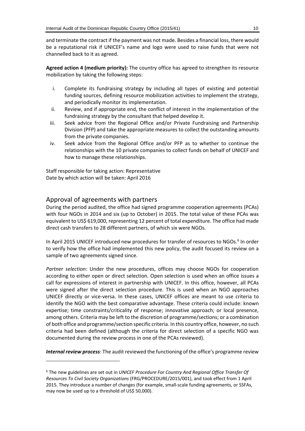and terminate the contract if the payment was not made. Besides a financial loss, there would be a reputational risk if UNICEF's name and logo were used to raise funds that were not channelled back to it as agreed.

**Agreed action 4 (medium priority):** The country office has agreed to strengthen its resource mobilization by taking the following steps:

- i. Complete its fundraising strategy by including all types of existing and potential funding sources, defining resource mobilization activities to implement the strategy, and periodically monitor its implementation.
- ii. Review, and if appropriate end, the conflict of interest in the implementation of the fundraising strategy by the consultant that helped develop it.
- iii. Seek advice from the Regional Office and/or Private Fundraising and Partnership Division (PFP) and take the appropriate measures to collect the outstanding amounts from the private companies.
- iv. Seek advice from the Regional Office and/or PFP as to whether to continue the relationships with the 10 private companies to collect funds on behalf of UNICEF and how to manage these relationships.

Staff responsible for taking action: Representative Date by which action will be taken: April 2016

#### Approval of agreements with partners

-

During the period audited, the office had signed programme cooperation agreements (PCAs) with four NGOs in 2014 and six (up to October) in 2015. The total value of these PCAs was equivalent to US\$ 619,000, representing 12 percent of total expenditure. The office had made direct cash transfers to 28 different partners, of which six were NGOs.

In April 2015 UNICEF introduced new procedures for transfer of resources to NGOs.<sup>6</sup> In order to verify how the office had implemented this new policy, the audit focused its review on a sample of two agreements signed since.

*Partner selection:* Under the new procedures, offices may choose NGOs for cooperation according to either open or direct selection. Open selection is used when an office issues a call for expressions of interest in partnership with UNICEF. In this office, however, all PCAs were signed after the direct selection procedure. This is used when an NGO approaches UNICEF directly or vice-versa. In these cases, UNICEF offices are meant to use criteria to identify the NGO with the best comparative advantage. These criteria could include: known expertise; time constraints/criticality of response; innovative approach; or local presence, among others. Criteria may be left to the discretion of programme/sections; or a combination of both office and programme/section specific criteria. In this country office, however, no such criteria had been defined (although the criteria for direct selection of a specific NGO was documented during the review process in one of the PCAs reviewed).

*Internal review process*: The audit reviewed the functioning of the office's programme review

<sup>6</sup> The new guidelines are set out in *UNICEF Procedure For Country And Regional Office Transfer Of Resources To Civil Society Organizations* (FRG/PROCEDURE/2015/001), and took effect from 1 April 2015. They introduce a number of changes (for example, small-scale funding agreements, or SSFAs, may now be used up to a threshold of US\$ 50,000).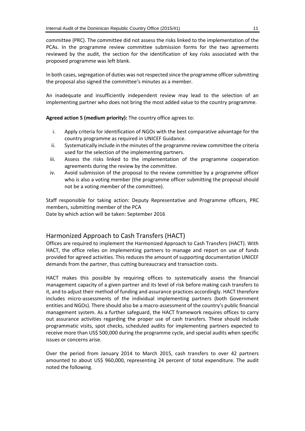committee (PRC). The committee did not assess the risks linked to the implementation of the PCAs. In the programme review committee submission forms for the two agreements reviewed by the audit, the section for the identification of key risks associated with the proposed programme was left blank.

In both cases, segregation of duties was not respected since the programme officer submitting the proposal also signed the committee's minutes as a member.

An inadequate and insufficiently independent review may lead to the selection of an implementing partner who does not bring the most added value to the country programme.

**Agreed action 5 (medium priority):** The country office agrees to:

- i. Apply criteria for identification of NGOs with the best comparative advantage for the country programme as required in UNICEF Guidance.
- ii. Systematically include in the minutes of the programme review committee the criteria used for the selection of the implementing partners.
- iii. Assess the risks linked to the implementation of the programme cooperation agreements during the review by the committee.
- iv. Avoid submission of the proposal to the review committee by a programme officer who is also a voting member (the programme officer submitting the proposal should not be a voting member of the committee).

Staff responsible for taking action: Deputy Representative and Programme officers, PRC members, submitting member of the PCA Date by which action will be taken: September 2016

#### Harmonized Approach to Cash Transfers (HACT)

Offices are required to implement the Harmonized Approach to Cash Transfers (HACT). With HACT, the office relies on implementing partners to manage and report on use of funds provided for agreed activities. This reduces the amount of supporting documentation UNICEF demands from the partner, thus cutting bureaucracy and transaction costs.

HACT makes this possible by requiring offices to systematically assess the financial management capacity of a given partner and its level of risk before making cash transfers to it, and to adjust their method of funding and assurance practices accordingly. HACT therefore includes micro-assessments of the individual implementing partners (both Government entities and NGOs). There should also be a macro-assessment of the country's public financial management system. As a further safeguard, the HACT framework requires offices to carry out assurance activities regarding the proper use of cash transfers. These should include programmatic visits, spot checks, scheduled audits for implementing partners expected to receive more than US\$ 500,000 during the programme cycle, and special audits when specific issues or concerns arise.

Over the period from January 2014 to March 2015, cash transfers to over 42 partners amounted to about US\$ 960,000, representing 24 percent of total expenditure. The audit noted the following.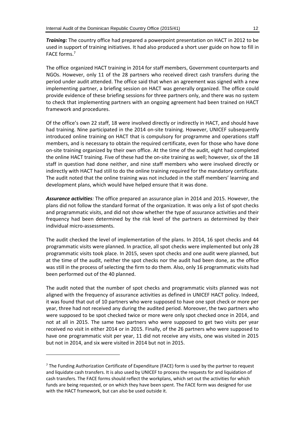*Training:* The country office had prepared a powerpoint presentation on HACT in 2012 to be used in support of training initiatives. It had also produced a short user guide on how to fill in FACE forms.<sup>7</sup>

The office organized HACT training in 2014 for staff members, Government counterparts and NGOs. However, only 11 of the 28 partners who received direct cash transfers during the period under audit attended. The office said that when an agreement was signed with a new implementing partner, a briefing session on HACT was generally organized. The office could provide evidence of these briefing sessions for three partners only, and there was no system to check that implementing partners with an ongoing agreement had been trained on HACT framework and procedures.

Of the office's own 22 staff, 18 were involved directly or indirectly in HACT, and should have had training. Nine participated in the 2014 on-site training. However, UNICEF subsequently introduced online training on HACT that is compulsory for programme and operations staff members, and is necessary to obtain the required certificate, even for those who have done on-site training organized by their own office. At the time of the audit, eight had completed the online HACT training. Five of these had the on-site training as well; however, six of the 18 staff in question had done neither, and nine staff members who were involved directly or indirectly with HACT had still to do the online training required for the mandatory certificate. The audit noted that the online training was not included in the staff members' learning and development plans, which would have helped ensure that it was done.

*Assurance activities:* The office prepared an assurance plan in 2014 and 2015. However, the plans did not follow the standard format of the organization. It was only a list of spot checks and programmatic visits, and did not show whether the type of assurance activities and their frequency had been determined by the risk level of the partners as determined by their individual micro-assessments.

The audit checked the level of implementation of the plans. In 2014, 16 spot checks and 44 programmatic visits were planned. In practice, all spot checks were implemented but only 28 programmatic visits took place. In 2015, seven spot checks and one audit were planned, but at the time of the audit, neither the spot checks nor the audit had been done, as the office was still in the process of selecting the firm to do them. Also, only 16 programmatic visits had been performed out of the 40 planned.

The audit noted that the number of spot checks and programmatic visits planned was not aligned with the frequency of assurance activities as defined in UNICEF HACT policy. Indeed, it was found that out of 10 partners who were supposed to have one spot check or more per year, three had not received any during the audited period. Moreover, the two partners who were supposed to be spot checked twice or more were only spot checked once in 2014, and not at all in 2015. The same two partners who were supposed to get two visits per year received no visit in either 2014 or in 2015. Finally, of the 26 partners who were supposed to have one programmatic visit per year, 11 did not receive any visits, one was visited in 2015 but not in 2014, and six were visited in 2014 but not in 2015.

-

<sup>&</sup>lt;sup>7</sup> The Funding Authorization Certificate of Expenditure (FACE) form is used by the partner to request and liquidate cash transfers. It is also used by UNICEF to process the requests for and liquidation of cash transfers. The FACE forms should reflect the workplans, which set out the activities for which funds are being requested, or on which they have been spent. The FACE form was designed for use with the HACT framework, but can also be used outside it.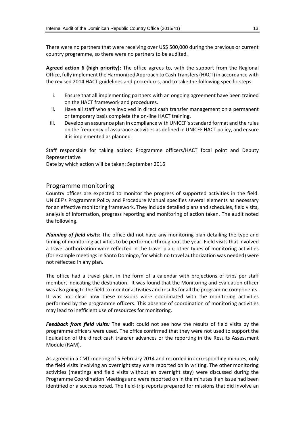There were no partners that were receiving over US\$ 500,000 during the previous or current country programme, so there were no partners to be audited.

**Agreed action 6 (high priority):** The office agrees to, with the support from the Regional Office, fully implement the Harmonized Approach to Cash Transfers (HACT) in accordance with the revised 2014 HACT guidelines and procedures, and to take the following specific steps:

- i. Ensure that all implementing partners with an ongoing agreement have been trained on the HACT framework and procedures.
- ii. Have all staff who are involved in direct cash transfer management on a permanent or temporary basis complete the on-line HACT training,
- iii. Develop an assurance plan in compliance with UNICEF's standard format and the rules on the frequency of assurance activities as defined in UNICEF HACT policy, and ensure it is implemented as planned.

Staff responsible for taking action: Programme officers/HACT focal point and Deputy Representative

Date by which action will be taken: September 2016

#### Programme monitoring

Country offices are expected to monitor the progress of supported activities in the field. UNICEF's Programme Policy and Procedure Manual specifies several elements as necessary for an effective monitoring framework. They include detailed plans and schedules, field visits, analysis of information, progress reporting and monitoring of action taken. The audit noted the following.

*Planning of field visits:* The office did not have any monitoring plan detailing the type and timing of monitoring activities to be performed throughout the year. Field visits that involved a travel authorization were reflected in the travel plan; other types of monitoring activities (for example meetings in Santo Domingo, for which no travel authorization was needed) were not reflected in any plan.

The office had a travel plan, in the form of a calendar with projections of trips per staff member, indicating the destination. It was found that the Monitoring and Evaluation officer was also going to the field to monitor activities and resultsfor all the programme components. It was not clear how these missions were coordinated with the monitoring activities performed by the programme officers. This absence of coordination of monitoring activities may lead to inefficient use of resources for monitoring.

*Feedback from field visits:* The audit could not see how the results of field visits by the programme officers were used. The office confirmed that they were not used to support the liquidation of the direct cash transfer advances or the reporting in the Results Assessment Module (RAM).

As agreed in a CMT meeting of 5 February 2014 and recorded in corresponding minutes, only the field visits involving an overnight stay were reported on in writing. The other monitoring activities (meetings and field visits without an overnight stay) were discussed during the Programme Coordination Meetings and were reported on in the minutes if an issue had been identified or a success noted. The field-trip reports prepared for missions that did involve an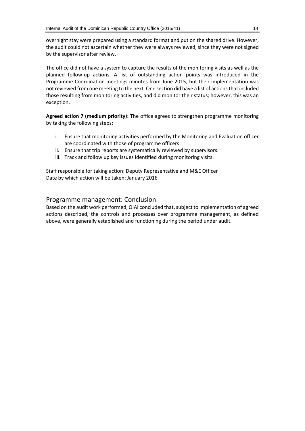overnight stay were prepared using a standard format and put on the shared drive. However, the audit could not ascertain whether they were always reviewed, since they were not signed by the supervisor after review.

The office did not have a system to capture the results of the monitoring visits as well as the planned follow-up actions. A list of outstanding action points was introduced in the Programme Coordination meetings minutes from June 2015, but their implementation was not reviewed from one meeting to the next. One section did have a list of actions that included those resulting from monitoring activities, and did monitor their status; however, this was an exception.

**Agreed action 7 (medium priority):** The office agrees to strengthen programme monitoring by taking the following steps:

- i. Ensure that monitoring activities performed by the Monitoring and Evaluation officer are coordinated with those of programme officers.
- ii. Ensure that trip reports are systematically reviewed by supervisors.
- iii. Track and follow up key issues identified during monitoring visits.

Staff responsible for taking action: Deputy Representative and M&E Officer Date by which action will be taken: January 2016

#### Programme management: Conclusion

Based on the audit work performed, OIAI concluded that, subject to implementation of agreed actions described, the controls and processes over programme management, as defined above, were generally established and functioning during the period under audit.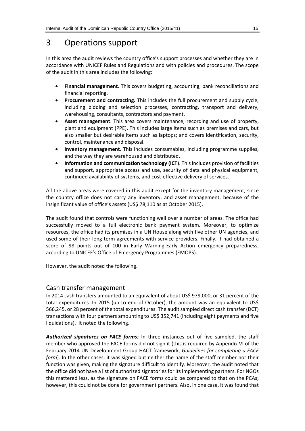# 3 Operations support

In this area the audit reviews the country office's support processes and whether they are in accordance with UNICEF Rules and Regulations and with policies and procedures. The scope of the audit in this area includes the following:

- **Financial management**. This covers budgeting, accounting, bank reconciliations and financial reporting.
- **Procurement and contracting.** This includes the full procurement and supply cycle, including bidding and selection processes, contracting, transport and delivery, warehousing, consultants, contractors and payment.
- **Asset management**. This area covers maintenance, recording and use of property, plant and equipment (PPE). This includes large items such as premises and cars, but also smaller but desirable items such as laptops; and covers identification, security, control, maintenance and disposal.
- **Inventory management.** This includes consumables, including programme supplies, and the way they are warehoused and distributed.
- **Information and communication technology (ICT)**. This includes provision of facilities and support, appropriate access and use, security of data and physical equipment, continued availability of systems, and cost-effective delivery of services.

All the above areas were covered in this audit except for the inventory management, since the country office does not carry any inventory, and asset management, because of the insignificant value of office's assets (US\$ 78,110 as at October 2015).

The audit found that controls were functioning well over a number of areas. The office had successfully moved to a full electronic bank payment system. Moreover, to optimize resources, the office had its premises in a UN House along with five other UN agencies, and used some of their long-term agreements with service providers. Finally, it had obtained a score of 98 points out of 100 in Early Warning-Early Action emergency preparedness, according to UNICEF's Office of Emergency Programmes (EMOPS).

However, the audit noted the following.

#### Cash transfer management

In 2014 cash transfers amounted to an equivalent of about US\$ 979,000, or 31 percent of the total expenditures. In 2015 (up to end of October), the amount was an equivalent to US\$ 566,245, or 28 percent of the total expenditures. The audit sampled direct cash transfer (DCT) transactions with four partners amounting to US\$ 352,741 (including eight payments and five liquidations). It noted the following.

*Authorized signatures on FACE forms:* In three instances out of five sampled, the staff member who approved the FACE forms did not sign it (this is required by Appendix VI of the February 2014 UN Development Group HACT framework, *Guidelines for completing a FACE form*). In the other cases, it was signed but neither the name of the staff member nor their function was given, making the signature difficult to identify. Moreover, the audit noted that the office did not have a list of authorized signatories for its implementing partners. For NGOs this mattered less, as the signature on FACE forms could be compared to that on the PCAs; however, this could not be done for government partners. Also, in one case, it was found that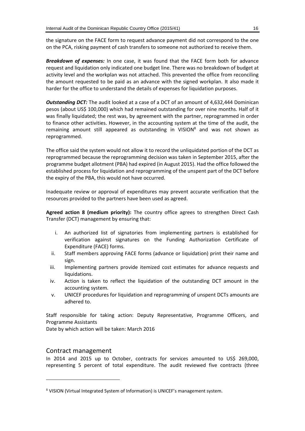the signature on the FACE form to request advance payment did not correspond to the one on the PCA, risking payment of cash transfers to someone not authorized to receive them.

*Breakdown of expenses:* In one case, it was found that the FACE form both for advance request and liquidation only indicated one budget line. There was no breakdown of budget at activity level and the workplan was not attached. This prevented the office from reconciling the amount requested to be paid as an advance with the signed workplan. It also made it harder for the office to understand the details of expenses for liquidation purposes.

*Outstanding DCT:* The audit looked at a case of a DCT of an amount of 4,632,444 Dominican pesos (about US\$ 100,000) which had remained outstanding for over nine months. Half of it was finally liquidated; the rest was, by agreement with the partner, reprogrammed in order to finance other activities. However, in the accounting system at the time of the audit, the remaining amount still appeared as outstanding in VISION<sup>8</sup> and was not shown as reprogrammed.

The office said the system would not allow it to record the unliquidated portion of the DCT as reprogrammed because the reprogramming decision was taken in September 2015, after the programme budget allotment (PBA) had expired (in August 2015). Had the office followed the established process for liquidation and reprogramming of the unspent part of the DCT before the expiry of the PBA, this would not have occurred.

Inadequate review or approval of expenditures may prevent accurate verification that the resources provided to the partners have been used as agreed.

**Agreed action 8 (medium priority):** The country office agrees to strengthen Direct Cash Transfer (DCT) management by ensuring that:

- i. An authorized list of signatories from implementing partners is established for verification against signatures on the Funding Authorization Certificate of Expenditure (FACE) forms.
- ii. Staff members approving FACE forms (advance or liquidation) print their name and sign.
- iii. Implementing partners provide itemized cost estimates for advance requests and liquidations.
- iv. Action is taken to reflect the liquidation of the outstanding DCT amount in the accounting system.
- v. UNICEF procedures for liquidation and reprogramming of unspent DCTs amounts are adhered to.

Staff responsible for taking action: Deputy Representative, Programme Officers, and Programme Assistants

Date by which action will be taken: March 2016

#### Contract management

1

In 2014 and 2015 up to October, contracts for services amounted to US\$ 269,000, representing 5 percent of total expenditure. The audit reviewed five contracts (three

<sup>8</sup> VISION (Virtual Integrated System of Information) is UNICEF's management system.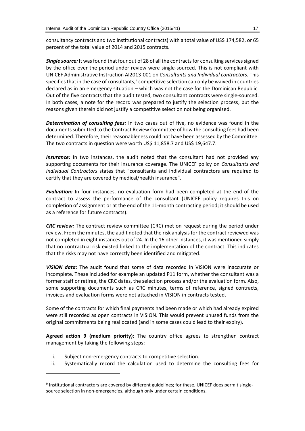consultancy contracts and two institutional contracts) with a total value of US\$ 174,582, or 65 percent of the total value of 2014 and 2015 contracts.

*Single source:* It was found that four out of 28 of all the contracts for consulting services signed by the office over the period under review were single-sourced. This is not compliant with UNICEF Administrative Instruction AI2013-001 on *Consultants and Individual contractors.* This specifies that in the case of consultants, $9$  competitive selection can only be waived in countries declared as in an emergency situation – which was not the case for the Dominican Republic. Out of the five contracts that the audit tested, two consultant contracts were single-sourced. In both cases, a note for the record was prepared to justify the selection process, but the reasons given therein did not justify a competitive selection not being organized.

*Determination of consulting fees:* In two cases out of five, no evidence was found in the documents submitted to the Contract Review Committee of how the consulting fees had been determined. Therefore, their reasonableness could not have been assessed by the Committee. The two contracts in question were worth US\$ 11,858.7 and US\$ 19,647.7.

*Insurance:* In two instances, the audit noted that the consultant had not provided any supporting documents for their insurance coverage. The UNICEF policy on *Consultants and Individual Contractors* states that "consultants and individual contractors are required to certify that they are covered by medical/health insurance".

*Evaluation:* In four instances, no evaluation form had been completed at the end of the contract to assess the performance of the consultant (UNICEF policy requires this on completion of assignment or at the end of the 11-month contracting period; it should be used as a reference for future contracts).

*CRC review:* The contract review committee (CRC) met on request during the period under review. From the minutes, the audit noted that the risk analysis for the contract reviewed was not completed in eight instances out of 24. In the 16 other instances, it was mentioned simply that no contractual risk existed linked to the implementation of the contract. This indicates that the risks may not have correctly been identified and mitigated.

*VISION data:* The audit found that some of data recorded in VISION were inaccurate or incomplete. These included for example an updated P11 form, whether the consultant was a former staff or retiree, the CRC dates, the selection process and/or the evaluation form. Also, some supporting documents such as CRC minutes, terms of reference, signed contracts, invoices and evaluation forms were not attached in VISION in contracts tested.

Some of the contracts for which final payments had been made or which had already expired were still recorded as open contracts in VISION. This would prevent unused funds from the original commitments being reallocated (and in some cases could lead to their expiry).

**Agreed action 9 (medium priority):** The country office agrees to strengthen contract management by taking the following steps:

i. Subject non-emergency contracts to competitive selection.

-

ii. Systematically record the calculation used to determine the consulting fees for

<sup>&</sup>lt;sup>9</sup> Institutional contractors are covered by different guidelines; for these, UNICEF does permit singlesource selection in non-emergencies, although only under certain conditions.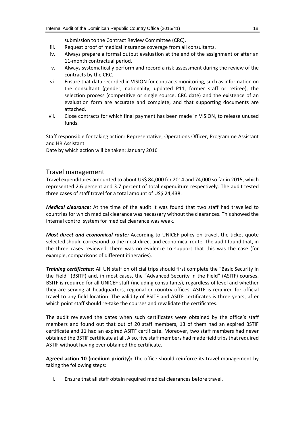submission to the Contract Review Committee (CRC).

- iii. Request proof of medical insurance coverage from all consultants.
- iv. Always prepare a formal output evaluation at the end of the assignment or after an 11-month contractual period.
- v. Always systematically perform and record a risk assessment during the review of the contracts by the CRC.
- vi. Ensure that data recorded in VISION for contracts monitoring, such as information on the consultant (gender, nationality, updated P11, former staff or retiree), the selection process (competitive or single source, CRC date) and the existence of an evaluation form are accurate and complete, and that supporting documents are attached.
- vii. Close contracts for which final payment has been made in VISION, to release unused funds.

Staff responsible for taking action: Representative, Operations Officer, Programme Assistant and HR Assistant

Date by which action will be taken: January 2016

#### Travel management

Travel expenditures amounted to about US\$ 84,000 for 2014 and 74,000 so far in 2015, which represented 2.6 percent and 3.7 percent of total expenditure respectively. The audit tested three cases of staff travel for a total amount of US\$ 24,438.

*Medical clearance:* At the time of the audit it was found that two staff had travelled to countries for which medical clearance was necessary without the clearances. This showed the internal control system for medical clearance was weak.

*Most direct and economical route:* According to UNICEF policy on travel, the ticket quote selected should correspond to the most direct and economical route. The audit found that, in the three cases reviewed, there was no evidence to support that this was the case (for example, comparisons of different itineraries).

*Training certificates:* All UN staff on official trips should first complete the "Basic Security in the Field" (BSITF) and, in most cases, the "Advanced Security in the Field" (ASITF) courses. BSITF is required for all UNICEF staff (including consultants), regardless of level and whether they are serving at headquarters, regional or country offices. ASITF is required for official travel to any field location. The validity of BSITF and ASITF certificates is three years, after which point staff should re-take the courses and revalidate the certificates.

The audit reviewed the dates when such certificates were obtained by the office's staff members and found out that out of 20 staff members, 13 of them had an expired BSTIF certificate and 11 had an expired ASITF certificate. Moreover, two staff members had never obtained the BSTIF certificate at all. Also, five staff members had made field trips that required ASTIF without having ever obtained the certificate.

**Agreed action 10 (medium priority):** The office should reinforce its travel management by taking the following steps:

i. Ensure that all staff obtain required medical clearances before travel.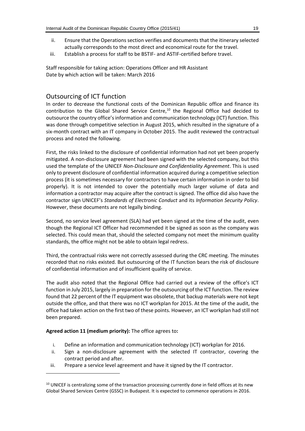- ii. Ensure that the Operations section verifies and documents that the itinerary selected actually corresponds to the most direct and economical route for the travel.
- iii. Establish a process for staff to be BSTIF- and ASTIF-certified before travel.

Staff responsible for taking action: Operations Officer and HR Assistant Date by which action will be taken: March 2016

#### Outsourcing of ICT function

In order to decrease the functional costs of the Dominican Republic office and finance its contribution to the Global Shared Service Centre, <sup>10</sup> the Regional Office had decided to outsource the country office's information and communication technology (ICT) function. This was done through competitive selection in August 2015, which resulted in the signature of a six-month contract with an IT company in October 2015. The audit reviewed the contractual process and noted the following.

First, the risks linked to the disclosure of confidential information had not yet been properly mitigated. A non-disclosure agreement had been signed with the selected company, but this used the template of the UNICEF *Non-Disclosure and Confidentiality Agreement*. This is used only to prevent disclosure of confidential information acquired during a competitive selection process (it is sometimes necessary for contractors to have certain information in order to bid properly). It is not intended to cover the potentially much larger volume of data and information a contractor may acquire after the contract is signed. The office did also have the contractor sign UNICEF's *Standards of Electronic Conduct* and its *Information Security Policy*. However, these documents are not legally binding.

Second, no service level agreement (SLA) had yet been signed at the time of the audit, even though the Regional ICT Officer had recommended it be signed as soon as the company was selected. This could mean that, should the selected company not meet the minimum quality standards, the office might not be able to obtain legal redress.

Third, the contractual risks were not correctly assessed during the CRC meeting. The minutes recorded that no risks existed. But outsourcing of the IT function bears the risk of disclosure of confidential information and of insufficient quality of service.

The audit also noted that the Regional Office had carried out a review of the office's ICT function in July 2015, largely in preparation for the outsourcing of the ICT function. The review found that 22 percent of the IT equipment was obsolete, that backup materials were not kept outside the office, and that there was no ICT workplan for 2015. At the time of the audit, the office had taken action on the first two of these points. However, an ICT workplan had still not been prepared.

#### **Agreed action 11 (medium priority):** The office agrees to**:**

-

- i. Define an information and communication technology (ICT) workplan for 2016.
- ii. Sign a non-disclosure agreement with the selected IT contractor, covering the contract period and after.
- iii. Prepare a service level agreement and have it signed by the IT contractor.

<sup>&</sup>lt;sup>10</sup> UNICEF is centralizing some of the transaction processing currently done in field offices at its new Global Shared Services Centre (GSSC) in Budapest. It is expected to commence operations in 2016.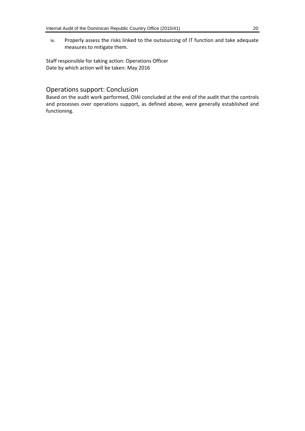iv. Properly assess the risks linked to the outsourcing of IT function and take adequate measures to mitigate them.

Staff responsible for taking action: Operations Officer Date by which action will be taken: May 2016

#### Operations support: Conclusion

Based on the audit work performed, OIAI concluded at the end of the audit that the controls and processes over operations support, as defined above, were generally established and functioning.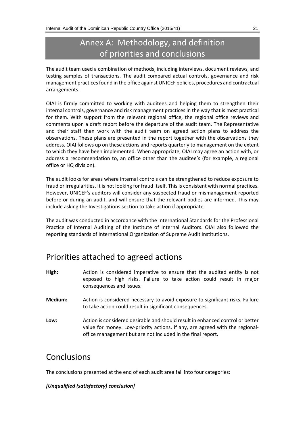# Annex A: Methodology, and definition of priorities and conclusions

The audit team used a combination of methods, including interviews, document reviews, and testing samples of transactions. The audit compared actual controls, governance and risk management practices found in the office against UNICEF policies, procedures and contractual arrangements.

OIAI is firmly committed to working with auditees and helping them to strengthen their internal controls, governance and risk management practices in the way that is most practical for them. With support from the relevant regional office, the regional office reviews and comments upon a draft report before the departure of the audit team. The Representative and their staff then work with the audit team on agreed action plans to address the observations. These plans are presented in the report together with the observations they address. OIAI follows up on these actions and reports quarterly to management on the extent to which they have been implemented. When appropriate, OIAI may agree an action with, or address a recommendation to, an office other than the auditee's (for example, a regional office or HQ division).

The audit looks for areas where internal controls can be strengthened to reduce exposure to fraud or irregularities. It is not looking for fraud itself. This is consistent with normal practices. However, UNICEF's auditors will consider any suspected fraud or mismanagement reported before or during an audit, and will ensure that the relevant bodies are informed. This may include asking the Investigations section to take action if appropriate.

The audit was conducted in accordance with the International Standards for the Professional Practice of Internal Auditing of the Institute of Internal Auditors. OIAI also followed the reporting standards of International Organization of Supreme Audit Institutions.

# Priorities attached to agreed actions

- **High:** Action is considered imperative to ensure that the audited entity is not exposed to high risks. Failure to take action could result in major consequences and issues.
- **Medium:** Action is considered necessary to avoid exposure to significant risks. Failure to take action could result in significant consequences.
- **Low:** Action is considered desirable and should result in enhanced control or better value for money. Low-priority actions, if any, are agreed with the regionaloffice management but are not included in the final report.

# Conclusions

The conclusions presented at the end of each audit area fall into four categories:

#### *[Unqualified (satisfactory) conclusion]*